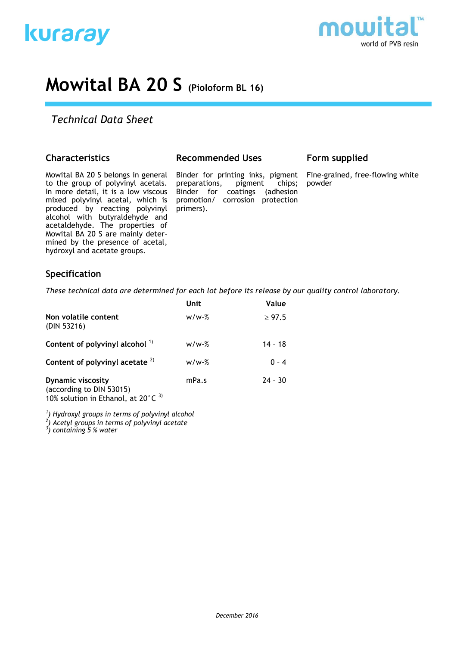



# **Mowital BA 20 S (Pioloform BL 16)**

# *Technical Data Sheet*

# **Characteristics**

Mowital BA 20 S belongs in general to the group of polyvinyl acetals. In more detail, it is a low viscous mixed polyvinyl acetal, which is produced by reacting polyvinyl alcohol with butyraldehyde and acetaldehyde. The properties of Mowital BA 20 S are mainly determined by the presence of acetal, hydroxyl and acetate groups.

#### **Recommended Uses**

Binder for printing inks, pigment preparations, pigment chips; Binder for coatings (adhesion promotion/ corrosion protection primers).

# **Form supplied**

Fine-grained, free-flowing white powder

# **Specification**

*These technical data are determined for each lot before its release by our quality control laboratory.*

|                                                               | Unit    | Value       |
|---------------------------------------------------------------|---------|-------------|
| Non volatile content<br>(DIN 53216)                           | $w/w-%$ | $\geq 97.5$ |
| Content of polyvinyl alcohol 1)                               | $w/w-%$ | $14 - 18$   |
| Content of polyvinyl acetate $2)$                             | $w/w-%$ | $0 - 4$     |
| <b>Dynamic viscosity</b><br>(according to DIN 53015)<br>----- | mPa.s   | $24 - 30$   |

10% solution in Ethanol, at 20 $^{\circ}$ C<sup>3)</sup>

*1 ) Hydroxyl groups in terms of polyvinyl alcohol*

*2 ) Acetyl groups in terms of polyvinyl acetate*

*3 ) containing 5 % water*